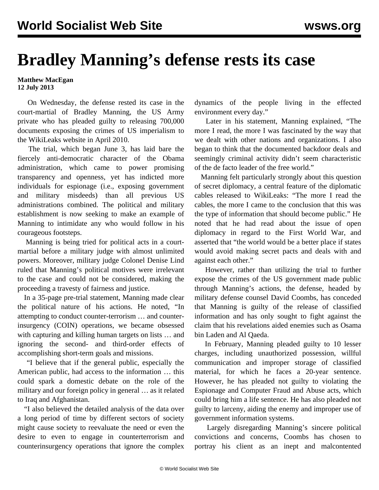## **Bradley Manning's defense rests its case**

## **Matthew MacEgan 12 July 2013**

 On Wednesday, the defense rested its case in the court-martial of Bradley Manning, the US Army private who has pleaded guilty to releasing 700,000 documents exposing the crimes of US imperialism to the WikiLeaks website in April 2010.

 The trial, which began June 3, has laid bare the fiercely anti-democratic character of the Obama administration, which came to power promising transparency and openness, yet has indicted more individuals for espionage (i.e., exposing government and military misdeeds) than all previous US administrations combined. The political and military establishment is now seeking to make an example of Manning to intimidate any who would follow in his courageous footsteps.

 Manning is being tried for political acts in a courtmartial before a military judge with almost unlimited powers. Moreover, military judge Colonel Denise Lind ruled that Manning's political motives were irrelevant to the case and could not be considered, making the proceeding a travesty of fairness and justice.

 In a 35-page pre-trial statement, Manning made clear the political nature of his actions. He noted, "In attempting to conduct counter-terrorism … and counterinsurgency (COIN) operations, we became obsessed with capturing and killing human targets on lists … and ignoring the second- and third-order effects of accomplishing short-term goals and missions.

 "I believe that if the general public, especially the American public, had access to the information … this could spark a domestic debate on the role of the military and our foreign policy in general … as it related to Iraq and Afghanistan.

 "I also believed the detailed analysis of the data over a long period of time by different sectors of society might cause society to reevaluate the need or even the desire to even to engage in counterterrorism and counterinsurgency operations that ignore the complex

dynamics of the people living in the effected environment every day."

 Later in his statement, Manning explained, "The more I read, the more I was fascinated by the way that we dealt with other nations and organizations. I also began to think that the documented backdoor deals and seemingly criminal activity didn't seem characteristic of the de facto leader of the free world."

 Manning felt particularly strongly about this question of secret diplomacy, a central feature of the diplomatic cables released to WikiLeaks: "The more I read the cables, the more I came to the conclusion that this was the type of information that should become public." He noted that he had read about the issue of open diplomacy in regard to the First World War, and asserted that "the world would be a better place if states would avoid making secret pacts and deals with and against each other."

 However, rather than utilizing the trial to further expose the crimes of the US government made public through Manning's actions, the defense, headed by military defense counsel David Coombs, has conceded that Manning is guilty of the release of classified information and has only sought to fight against the claim that his revelations aided enemies such as Osama bin Laden and Al Qaeda.

 In February, Manning pleaded guilty to 10 lesser charges, including unauthorized possession, willful communication and improper storage of classified material, for which he faces a 20-year sentence. However, he has pleaded not guilty to violating the Espionage and Computer Fraud and Abuse acts, which could bring him a life sentence. He has also pleaded not guilty to larceny, aiding the enemy and improper use of government information systems.

 Largely disregarding Manning's sincere political convictions and concerns, Coombs has chosen to portray his client as an inept and malcontented